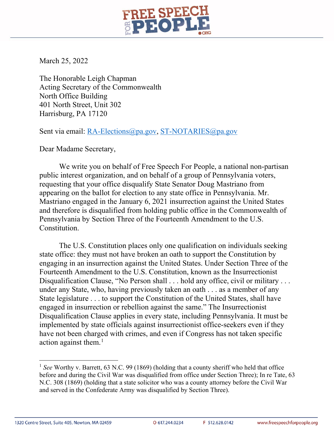

March 25, 2022

The Honorable Leigh Chapman Acting Secretary of the Commonwealth North Office Building 401 North Street, Unit 302 Harrisburg, PA 17120

Sent via email: [RA-Elections@pa.gov,](mailto:RA-Elections@pa.gov) [ST-NOTARIES@pa.gov](mailto:ST-NOTARIES@pa.gov)

Dear Madame Secretary,

We write you on behalf of Free Speech For People, a national non-partisan public interest organization, and on behalf of a group of Pennsylvania voters, requesting that your office disqualify State Senator Doug Mastriano from appearing on the ballot for election to any state office in Pennsylvania. Mr. Mastriano engaged in the January 6, 2021 insurrection against the United States and therefore is disqualified from holding public office in the Commonwealth of Pennsylvania by Section Three of the Fourteenth Amendment to the U.S. Constitution.

The U.S. Constitution places only one qualification on individuals seeking state office: they must not have broken an oath to support the Constitution by engaging in an insurrection against the United States. Under Section Three of the Fourteenth Amendment to the U.S. Constitution, known as the Insurrectionist Disqualification Clause, "No Person shall . . . hold any office, civil or military . . . under any State, who, having previously taken an oath . . . as a member of any State legislature . . . to support the Constitution of the United States, shall have engaged in insurrection or rebellion against the same." The Insurrectionist Disqualification Clause applies in every state, including Pennsylvania. It must be implemented by state officials against insurrectionist office-seekers even if they have not been charged with crimes, and even if Congress has not taken specific action against them.<sup>[1](#page-0-0)</sup>

<span id="page-0-0"></span><sup>&</sup>lt;sup>1</sup> See Worthy v. Barrett, 63 N.C. 99 (1869) (holding that a county sheriff who held that office before and during the Civil War was disqualified from office under Section Three); In re Tate, 63 N.C. 308 (1869) (holding that a state solicitor who was a county attorney before the Civil War and served in the Confederate Army was disqualified by Section Three).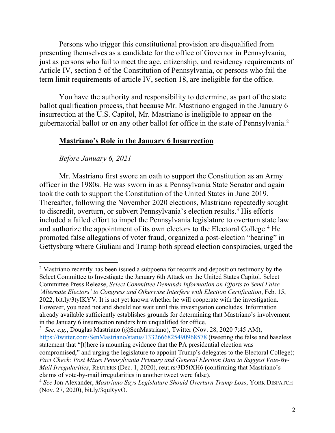Persons who trigger this constitutional provision are disqualified from presenting themselves as a candidate for the office of Governor in Pennsylvania, just as persons who fail to meet the age, citizenship, and residency requirements of Article IV, section 5 of the Constitution of Pennsylvania, or persons who fail the term limit requirements of article IV, section 18, are ineligible for the office.

You have the authority and responsibility to determine, as part of the state ballot qualification process, that because Mr. Mastriano engaged in the January 6 insurrection at the U.S. Capitol, Mr. Mastriano is ineligible to appear on the gubernatorial ballot or on any other ballot for office in the state of Pennsylvania.<sup>[2](#page-1-0)</sup>

#### **Mastriano's Role in the January 6 Insurrection**

#### *Before January 6, 2021*

 $\overline{a}$ 

Mr. Mastriano first swore an oath to support the Constitution as an Army officer in the 1980s. He was sworn in as a Pennsylvania State Senator and again took the oath to support the Constitution of the United States in June 2019. Thereafter, following the November 2020 elections, Mastriano repeatedly sought to discredit, overturn, or subvert Pennsylvania's election results.<sup>[3](#page-1-1)</sup> His efforts included a failed effort to impel the Pennsylvania legislature to overturn state law and authorize the appointment of its own electors to the Electoral College.<sup>[4](#page-1-2)</sup> He promoted false allegations of voter fraud, organized a post-election "hearing" in Gettysburg where Giuliani and Trump both spread election conspiracies, urged the

<span id="page-1-0"></span> $2$  Mastriano recently has been issued a subpoena for records and deposition testimony by the Select Committee to Investigate the January 6th Attack on the United States Capitol. Select Committee Press Release, *Select Committee Demands Information on Efforts to Send False 'Alternate Electors' to Congress and Otherwise Interfere with Election Certification*, Feb. 15, 2022, bit.ly/3tyIKYV. It is not yet known whether he will cooperate with the investigation. However, you need not and should not wait until this investigation concludes. Information already available sufficiently establishes grounds for determining that Mastriano's involvement in the January 6 insurrection renders him unqualified for office.

<span id="page-1-1"></span><sup>3</sup> *See, e.g.*, Douglas Mastriano (@SenMastriano), Twitter (Nov. 28, 2020 7:45 AM), <https://twitter.com/SenMastriano/status/1332666825490968578> (tweeting the false and baseless statement that "[t]here is mounting evidence that the PA presidential election was compromised," and urging the legislature to appoint Trump's delegates to the Electoral College); *Fact Check: Post Mixes Pennsylvania Primary and General Election Data to Suggest Vote-By-Mail Irregularities*, REUTERS (Dec. 1, 2020), reut.rs/3D5tXH6 (confirming that Mastriano's claims of vote-by-mail irregularities in another tweet were false).

<span id="page-1-2"></span><sup>4</sup> *See* Jon Alexander, *Mastriano Says Legislature Should Overturn Trump Loss*, YORK DISPATCH (Nov. 27, 2020), bit.ly/3quRyvO.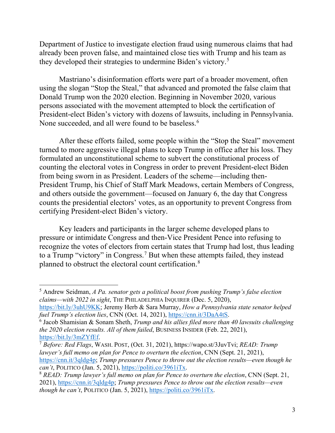Department of Justice to investigate election fraud using numerous claims that had already been proven false, and maintained close ties with Trump and his team as they developed their strategies to undermine Biden's victory.[5](#page-2-0)

Mastriano's disinformation efforts were part of a broader movement, often using the slogan "Stop the Steal," that advanced and promoted the false claim that Donald Trump won the 2020 election. Beginning in November 2020, various persons associated with the movement attempted to block the certification of President-elect Biden's victory with dozens of lawsuits, including in Pennsylvania. None succeeded, and all were found to be baseless.<sup>[6](#page-2-1)</sup>

After these efforts failed, some people within the "Stop the Steal" movement turned to more aggressive illegal plans to keep Trump in office after his loss. They formulated an unconstitutional scheme to subvert the constitutional process of counting the electoral votes in Congress in order to prevent President-elect Biden from being sworn in as President. Leaders of the scheme—including then-President Trump, his Chief of Staff Mark Meadows, certain Members of Congress, and others outside the government—focused on January 6, the day that Congress counts the presidential electors' votes, as an opportunity to prevent Congress from certifying President-elect Biden's victory.

Key leaders and participants in the larger scheme developed plans to pressure or intimidate Congress and then-Vice President Pence into refusing to recognize the votes of electors from certain states that Trump had lost, thus leading to a Trump "victory" in Congress.[7](#page-2-2) But when these attempts failed, they instead planned to obstruct the electoral count certification.<sup>[8](#page-2-3)</sup>

<span id="page-2-0"></span><sup>5</sup> Andrew Seidman, *A Pa. senator gets a political boost from pushing Trump's false election claims—with 2022 in sight*, THE PHILADELPHIA INQUIRER (Dec. 5, 2020),

[https://bit.ly/3uhU9KK;](https://bit.ly/3uhU9KK) Jeremy Herb & Sara Murray, *How a Pennsylvania state senator helped fuel Trump's election lies*, CNN (Oct. 14, 2021), [https://cnn.it/3DaA4tS.](https://cnn.it/3DaA4tS) 6

<span id="page-2-1"></span>Jacob Shamisian & Sonam Sheth, *Trump and his allies filed more than 40 lawsuits challenging the 2020 election results. All of them failed*, BUSINESS INSIDER (Feb. 22, 2021), [https://bit.ly/3mZYfEf.](https://bit.ly/3mZYfEf) 7 *Before: Red Flags*, WASH. POST, (Oct. 31, 2021), https://wapo.st/3JuvTvi; *READ: Trump* 

<span id="page-2-2"></span>*lawyer's full memo on plan for Pence to overturn the election*, CNN (Sept. 21, 2021), [https://cnn.it/3qldg4p;](https://cnn.it/3qldg4p) *Trump pressures Pence to throw out the election results—even though he can't*, POLITICO (Jan. 5, 2021), [https://politi.co/3961iTx.](https://politi.co/3961iTx)<br><sup>8</sup> *READ: Trump lawyer's full memo on plan for Pence to overturn the election*, CNN (Sept. 21,

<span id="page-2-3"></span><sup>2021),</sup> [https://cnn.it/3qldg4p;](https://cnn.it/3qldg4p) *Trump pressures Pence to throw out the election results—even though he can't*, POLITICO (Jan. 5, 2021), [https://politi.co/3961iTx.](https://politi.co/3961iTx)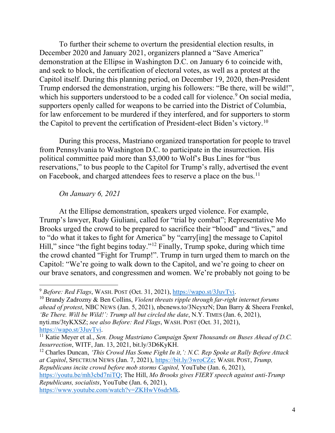To further their scheme to overturn the presidential election results, in December 2020 and January 2021, organizers planned a "Save America" demonstration at the Ellipse in Washington D.C. on January 6 to coincide with, and seek to block, the certification of electoral votes, as well as a protest at the Capitol itself. During this planning period, on December 19, 2020, then-President Trump endorsed the demonstration, urging his followers: "Be there, will be wild!", which his supporters understood to be a coded call for violence.<sup>[9](#page-3-0)</sup> On social media, supporters openly called for weapons to be carried into the District of Columbia, for law enforcement to be murdered if they interfered, and for supporters to storm the Capitol to prevent the certification of President-elect Biden's victory.[10](#page-3-1)

During this process, Mastriano organized transportation for people to travel from Pennsylvania to Washington D.C. to participate in the insurrection. His political committee paid more than \$3,000 to Wolf's Bus Lines for "bus reservations," to bus people to the Capitol for Trump's rally, advertised the event on Facebook, and charged attendees fees to reserve a place on the bus.<sup>11</sup>

### *On January 6, 2021*

At the Ellipse demonstration, speakers urged violence. For example, Trump's lawyer, Rudy Giuliani, called for "trial by combat"; Representative Mo Brooks urged the crowd to be prepared to sacrifice their "blood" and "lives," and to "do what it takes to fight for America" by "carry[ing] the message to Capitol Hill," since "the fight begins today."[12](#page-3-3) Finally, Trump spoke, during which time the crowd chanted "Fight for Trump!". Trump in turn urged them to march on the Capitol: "We're going to walk down to the Capitol, and we're going to cheer on our brave senators, and congressmen and women. We're probably not going to be

<span id="page-3-1"></span><sup>10</sup> Brandy Zadrozny & Ben Collins, *Violent threats ripple through far-right internet forums ahead of protest*, NBC NEWS (Jan. 5, 2021), nbcnews.to/3NcyxrN; Dan Barry & Sheera Frenkel, *'Be There. Will be Wild!': Trump all but circled the date*, N.Y. TIMES (Jan. 6, 2021), nyti.ms/3tyKXSZ; *see also Before: Red Flags*, WASH. POST (Oct. 31, 2021), [https://wapo.st/3JuvTvi.](https://wapo.st/3JuvTvi)<br><sup>11</sup> Katie Meyer et al., *Sen. Doug Mastriano Campaign Spent Thousands on Buses Ahead of D.C.* 

<span id="page-3-3"></span><sup>12</sup> Charles Duncan, *'This Crowd Has Some Fight In it,': N.C. Rep Spoke at Rally Before Attack at Capitol*, SPECTRUM NEWS (Jan. 7, 2021), [https://bit.ly/3wroCZe;](https://bit.ly/3wroCZe) WASH. POST, *Trump, Republicans incite crowd before mob storms Capitol,* YouTube (Jan. 6, 2021),

[https://youtu.be/mh3cbd7niTQ;](https://youtu.be/mh3cbd7niTQ) The Hill, *Mo Brooks gives FIERY speech against anti-Trump Republicans, socialists*, YouTube (Jan. 6, 2021),

[https://www.youtube.com/watch?v=ZKHwV6sdrMk.](https://www.youtube.com/watch?v=ZKHwV6sdrMk)

<span id="page-3-0"></span><sup>&</sup>lt;sup>9</sup> Before: Red Flags, WASH. POST (Oct. 31, 2021), https://wapo.st/3JuvTvi.

<span id="page-3-2"></span>*Insurrection*, WITF, Jan. 13, 2021, bit.ly/3D6KyKH.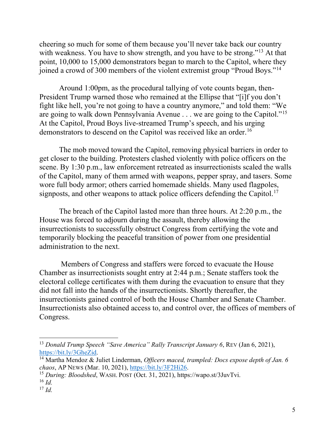cheering so much for some of them because you'll never take back our country with weakness. You have to show strength, and you have to be strong."<sup>[13](#page-4-0)</sup> At that point, 10,000 to 15,000 demonstrators began to march to the Capitol, where they joined a crowd of 300 members of the violent extremist group "Proud Boys."[14](#page-4-1)

Around 1:00pm, as the procedural tallying of vote counts began, then-President Trump warned those who remained at the Ellipse that "[i]f you don't fight like hell, you're not going to have a country anymore," and told them: "We are going to walk down Pennsylvania Avenue . . . we are going to the Capitol."[15](#page-4-2) At the Capitol, Proud Boys live-streamed Trump's speech, and his urging demonstrators to descend on the Capitol was received like an order.<sup>[16](#page-4-3)</sup>

The mob moved toward the Capitol, removing physical barriers in order to get closer to the building. Protesters clashed violently with police officers on the scene. By 1:30 p.m., law enforcement retreated as insurrectionists scaled the walls of the Capitol, many of them armed with weapons, pepper spray, and tasers. Some wore full body armor; others carried homemade shields. Many used flagpoles, signposts, and other weapons to attack police officers defending the Capitol.<sup>[17](#page-4-4)</sup>

The breach of the Capitol lasted more than three hours. At 2:20 p.m., the House was forced to adjourn during the assault, thereby allowing the insurrectionists to successfully obstruct Congress from certifying the vote and temporarily blocking the peaceful transition of power from one presidential administration to the next.

Members of Congress and staffers were forced to evacuate the House Chamber as insurrectionists sought entry at 2:44 p.m.; Senate staffers took the electoral college certificates with them during the evacuation to ensure that they did not fall into the hands of the insurrectionists. Shortly thereafter, the insurrectionists gained control of both the House Chamber and Senate Chamber. Insurrectionists also obtained access to, and control over, the offices of members of Congress.

<span id="page-4-0"></span><sup>13</sup> *Donald Trump Speech "Save America" Rally Transcript January 6*, REV (Jan 6, 2021), [https://bit.ly/3GheZid.](https://bit.ly/3GheZid)<br><sup>14</sup> Martha Mendoz & Juliet Linderman, *Officers maced, trampled: Docs expose depth of Jan. 6* 

<span id="page-4-1"></span>*chaos*, AP NEWS (Mar. 10, 2021), [https://bit.ly/3F2Hi26.](https://bit.ly/3F2Hi26) 15 *During: Bloodshed*, WASH. POST (Oct. 31, 2021), https://wapo.st/3JuvTvi.

<span id="page-4-2"></span>

<span id="page-4-3"></span> $^{16}$  *Id.* 

<span id="page-4-4"></span> $^{17}$  *Id.*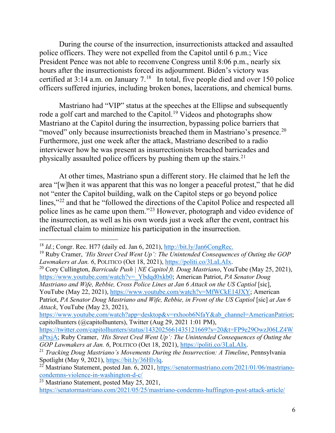During the course of the insurrection, insurrectionists attacked and assaulted police officers. They were not expelled from the Capitol until 6 p.m.; Vice President Pence was not able to reconvene Congress until 8:06 p.m., nearly six hours after the insurrectionists forced its adjournment. Biden's victory was certified at  $3:14$  a.m. on January  $7.^{18}$  $7.^{18}$  $7.^{18}$  In total, five people died and over 150 police officers suffered injuries, including broken bones, lacerations, and chemical burns.

Mastriano had "VIP" status at the speeches at the Ellipse and subsequently rode a golf cart and marched to the Capitol.<sup>[19](#page-5-1)</sup> Videos and photographs show Mastriano at the Capitol during the insurrection, bypassing police barriers that "moved" only because insurrectionists breached them in Mastriano's presence.<sup>[20](#page-5-2)</sup> Furthermore, just one week after the attack, Mastriano described to a radio interviewer how he was present as insurrectionists breached barricades and physically assaulted police officers by pushing them up the stairs.[21](#page-5-3)

At other times, Mastriano spun a different story. He claimed that he left the area "[w]hen it was apparent that this was no longer a peaceful protest," that he did not "enter the Capitol building, walk on the Capitol steps or go beyond police lines,"<sup>[22](#page-5-4)</sup> and that he "followed the directions of the Capitol Police and respected all police lines as he came upon them."[23](#page-5-5) However, photograph and video evidence of the insurrection, as well as his own words just a week after the event, contract his ineffectual claim to minimize his participation in the insurrection.

*Mastriano and Wife, Rebbie, Cross Police Lines at Jan 6 Attack on the US Captiol* [sic], YouTube (May 22, 2021), [https://www.youtube.com/watch?v=MfWCkE14JXY;](https://www.youtube.com/watch?v=MfWCkE14JXY) American

Patriot, *PA Senator Doug Mastriano and Wife, Rebbie, in Front of the US Captiol* [sic] *at Jan 6 Attack*, YouTube (May 23, 2021),

[https://www.youtube.com/watch?app=desktop&v=rxhoob6NfaY&ab\\_channel=AmericanPatriot;](https://www.youtube.com/watch?app=desktop&v=rxhoob6NfaY&ab_channel=AmericanPatriot) capitolhunters (@capitolhunters), Twitter (Aug 29, 2021 1:01 PM),

<span id="page-5-0"></span><sup>&</sup>lt;sup>18</sup> *Id.*; Congr. Rec. H77 (daily ed. Jan 6, 2021),  $\frac{http://bit.ly/Jan6CongRec.}{http://bit.ly/Jan6CongRec.}$ 

<span id="page-5-1"></span><sup>&</sup>lt;sup>19</sup> Ruby Cramer, *'His Street Cred Went Up': The Unintended Consequences of Outing the GOP Lawmakers at Jan. 6, POLITICO (Oct 18, 2021), https://politi.co/3LaLAIx.* 

<span id="page-5-2"></span><sup>&</sup>lt;sup>20</sup> Cory Cullington, *Barricade Push | NE Capitol ft. Doug Mastriano*, YouTube (May 25, 2021), [https://www.youtube.com/watch?v=\\_Ybdqd0xkb0;](https://www.youtube.com/watch?v=_Ybdqd0xkb0) American Patriot, *PA Senator Doug* 

[https://twitter.com/capitolhunters/status/1432025661435121669?s=20&t=FP9e29OwzJ06LZ4W](https://twitter.com/capitolhunters/status/1432025661435121669?s=20&t=FP9e29OwzJ06LZ4WaPtxjA) [aPtxjA;](https://twitter.com/capitolhunters/status/1432025661435121669?s=20&t=FP9e29OwzJ06LZ4WaPtxjA) Ruby Cramer, *'His Street Cred Went Up': The Unintended Consequences of Outing the* 

<span id="page-5-3"></span>*GOP Lawmakers at Jan. 6*, POLITICO (Oct 18, 2021), *https://politi.co/3LaLAIx.*<br><sup>21</sup> *Tracking Doug Mastriano's Movements During the Insurrection: A Timeline*, Pennsylvania<br>Spotlight (May 9, 2021), *https://bit.ly/36Hlvlq* 

<span id="page-5-4"></span><sup>22</sup> Mastriano Statement, posted Jan. 6, 2021, https://senatormastriano.com/2021/01/06/mastriano-<br>condemns-violence-in-washington-d-c/

<span id="page-5-5"></span> $\overline{^{23}$  Mastriano Statement, posted May 25, 2021,

<https://senatormastriano.com/2021/05/25/mastriano-condemns-huffington-post-attack-article/>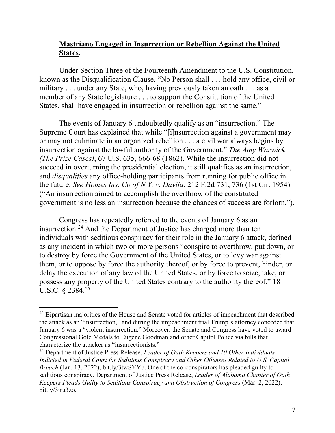## **Mastriano Engaged in Insurrection or Rebellion Against the United States.**

Under Section Three of the Fourteenth Amendment to the U.S. Constitution, known as the Disqualification Clause, "No Person shall . . . hold any office, civil or military . . . under any State, who, having previously taken an oath . . . as a member of any State legislature . . . to support the Constitution of the United States, shall have engaged in insurrection or rebellion against the same."

The events of January 6 undoubtedly qualify as an "insurrection." The Supreme Court has explained that while "[i]nsurrection against a government may or may not culminate in an organized rebellion . . . a civil war always begins by insurrection against the lawful authority of the Government." *The Amy Warwick (The Prize Cases)*, 67 U.S. 635, 666-68 (1862). While the insurrection did not succeed in overturning the presidential election, it still qualifies as an insurrection, and *disqualifies* any office-holding participants from running for public office in the future. *See Homes Ins. Co of N.Y. v. Davila*, 212 F.2d 731, 736 (1st Cir. 1954) ("An insurrection aimed to accomplish the overthrow of the constituted government is no less an insurrection because the chances of success are forlorn.").

Congress has repeatedly referred to the events of January 6 as an insurrection.<sup>[24](#page-6-0)</sup> And the Department of Justice has charged more than ten individuals with seditious conspiracy for their role in the January 6 attack, defined as any incident in which two or more persons "conspire to overthrow, put down, or to destroy by force the Government of the United States, or to levy war against them, or to oppose by force the authority thereof, or by force to prevent, hinder, or delay the execution of any law of the United States, or by force to seize, take, or possess any property of the United States contrary to the authority thereof." 18 U.S.C.  $\S 2384.^{25}$ 

<span id="page-6-0"></span><sup>&</sup>lt;sup>24</sup> Bipartisan majorities of the House and Senate voted for articles of impeachment that described the attack as an "insurrection," and during the impeachment trial Trump's attorney conceded that January 6 was a "violent insurrection." Moreover, the Senate and Congress have voted to award Congressional Gold Medals to Eugene Goodman and other Capitol Police via bills that characterize the attacker as "insurrectionists."

<span id="page-6-1"></span><sup>25</sup> Department of Justice Press Release, *Leader of Oath Keepers and 10 Other Individuals Indicted in Federal Court for Seditious Conspiracy and Other Offenses Related to U.S. Capitol Breach* (Jan. 13, 2022), bit.ly/3twSYYp. One of the co-conspirators has pleaded guilty to seditious conspiracy. Department of Justice Press Release, *Leader of Alabama Chapter of Oath Keepers Pleads Guilty to Seditious Conspiracy and Obstruction of Congress* (Mar. 2, 2022), bit.ly/3iru3zo.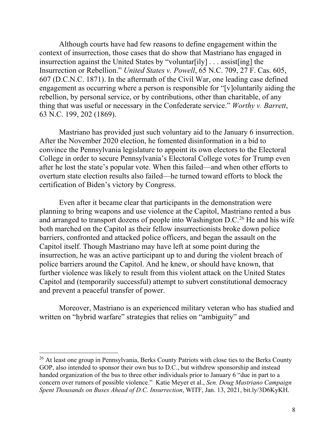Although courts have had few reasons to define engagement within the context of insurrection, those cases that do show that Mastriano has engaged in insurrection against the United States by "voluntar[ily] . . . assist[ing] the Insurrection or Rebellion." *United States v. Powell*, 65 N.C. 709, 27 F. Cas. 605, 607 (D.C.N.C. 1871). In the aftermath of the Civil War, one leading case defined engagement as occurring where a person is responsible for "[v]oluntarily aiding the rebellion, by personal service, or by contributions, other than charitable, of any thing that was useful or necessary in the Confederate service." *Worthy v. Barrett*, 63 N.C. 199, 202 (1869).

Mastriano has provided just such voluntary aid to the January 6 insurrection. After the November 2020 election, he fomented disinformation in a bid to convince the Pennsylvania legislature to appoint its own electors to the Electoral College in order to secure Pennsylvania's Electoral College votes for Trump even after he lost the state's popular vote. When this failed—and when other efforts to overturn state election results also failed—he turned toward efforts to block the certification of Biden's victory by Congress.

Even after it became clear that participants in the demonstration were planning to bring weapons and use violence at the Capitol, Mastriano rented a bus and arranged to transport dozens of people into Washington D.C.<sup>[26](#page-7-0)</sup> He and his wife both marched on the Capitol as their fellow insurrectionists broke down police barriers, confronted and attacked police officers, and began the assault on the Capitol itself. Though Mastriano may have left at some point during the insurrection, he was an active participant up to and during the violent breach of police barriers around the Capitol. And he knew, or should have known, that further violence was likely to result from this violent attack on the United States Capitol and (temporarily successful) attempt to subvert constitutional democracy and prevent a peaceful transfer of power.

Moreover, Mastriano is an experienced military veteran who has studied and written on "hybrid warfare" strategies that relies on "ambiguity" and

<span id="page-7-0"></span><sup>&</sup>lt;sup>26</sup> At least one group in Pennsylvania, Berks County Patriots with close ties to the Berks County GOP, also intended to sponsor their own bus to D.C., but withdrew sponsorship and instead handed organization of the bus to three other individuals prior to January 6 "due in part to a concern over rumors of possible violence." Katie Meyer et al., *Sen. Doug Mastriano Campaign Spent Thousands on Buses Ahead of D.C. Insurrection*, WITF, Jan. 13, 2021, bit.ly/3D6KyKH.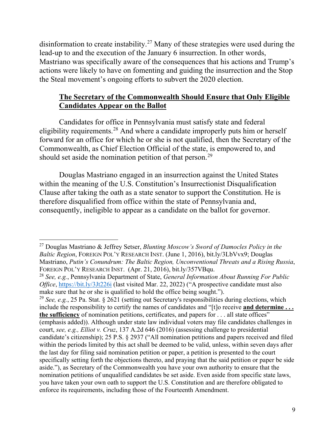disinformation to create instability.[27](#page-8-0) Many of these strategies were used during the lead-up to and the execution of the January 6 insurrection. In other words, Mastriano was specifically aware of the consequences that his actions and Trump's actions were likely to have on fomenting and guiding the insurrection and the Stop the Steal movement's ongoing efforts to subvert the 2020 election.

# **The Secretary of the Commonwealth Should Ensure that Only Eligible Candidates Appear on the Ballot**

Candidates for office in Pennsylvania must satisfy state and federal eligibility requirements.<sup>[28](#page-8-1)</sup> And where a candidate improperly puts him or herself forward for an office for which he or she is not qualified, then the Secretary of the Commonwealth, as Chief Election Official of the state, is empowered to, and should set aside the nomination petition of that person.<sup>[29](#page-8-2)</sup>

Douglas Mastriano engaged in an insurrection against the United States within the meaning of the U.S. Constitution's Insurrectionist Disqualification Clause after taking the oath as a state senator to support the Constitution. He is therefore disqualified from office within the state of Pennsylvania and, consequently, ineligible to appear as a candidate on the ballot for governor.

<span id="page-8-0"></span> $\overline{a}$ <sup>27</sup> Douglas Mastriano & Jeffrey Setser, *Blunting Moscow's Sword of Damocles Policy in the Baltic Region*, FOREIGN POL'Y RESEARCH INST. (June 1, 2016), bit.ly/3LbVvx9; Douglas Mastriano, *Putin's Conundrum: The Baltic Region, Unconventional Threats and a Rising Russia*, FOREIGN POL'Y RESEARCH INST. (Apr. 21, 2016), bit.ly/357VBqu.

<span id="page-8-1"></span><sup>28</sup> *See, e.g.*, Pennsylvania Department of State, *General Information About Running For Public Office*,<https://bit.ly/3Jt226i>(last visited Mar. 22, 2022) ("A prospective candidate must also make sure that he or she is qualified to hold the office being sought.").

<span id="page-8-2"></span><sup>29</sup> *See, e.g.*, 25 Pa. Stat. § 2621 (setting out Secretary's responsibilities during elections, which include the responsibility to certify the names of candidates and "[t]o receive **and determine . . . the sufficiency** of nomination petitions, certificates, and papers for . . . all state offices" (emphasis added)). Although under state law individual voters may file candidates challenges in court, *see, e.g., Elliot v. Cruz*, 137 A.2d 646 (2016) (assessing challenge to presidential candidate's citizenship); 25 P.S. § 2937 ("All nomination petitions and papers received and filed within the periods limited by this act shall be deemed to be valid, unless, within seven days after the last day for filing said nomination petition or paper, a petition is presented to the court specifically setting forth the objections thereto, and praying that the said petition or paper be side aside."), as Secretary of the Commonwealth you have your own authority to ensure that the nomination petitions of unqualified candidates be set aside. Even aside from specific state laws, you have taken your own oath to support the U.S. Constitution and are therefore obligated to enforce its requirements, including those of the Fourteenth Amendment.